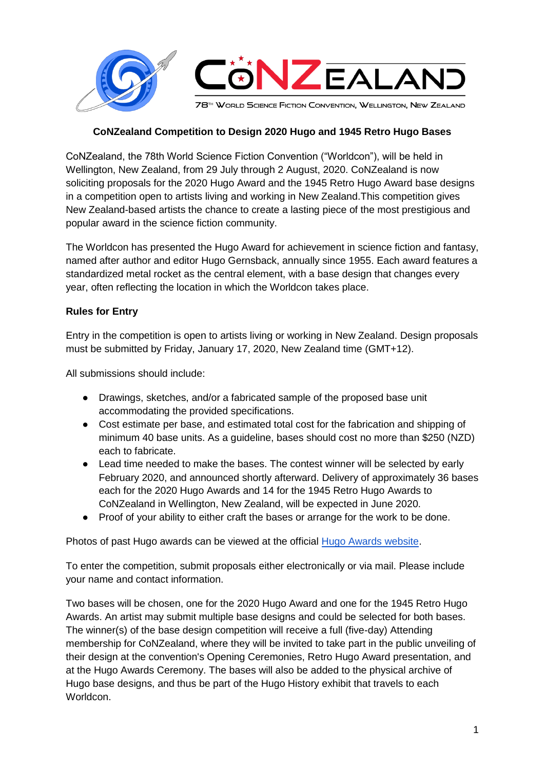

# **CoNZealand Competition to Design 2020 Hugo and 1945 Retro Hugo Bases**

CoNZealand, the 78th World Science Fiction Convention ("Worldcon"), will be held in Wellington, New Zealand, from 29 July through 2 August, 2020. CoNZealand is now soliciting proposals for the 2020 Hugo Award and the 1945 Retro Hugo Award base designs in a competition open to artists living and working in New Zealand.This competition gives New Zealand-based artists the chance to create a lasting piece of the most prestigious and popular award in the science fiction community.

The Worldcon has presented the Hugo Award for achievement in science fiction and fantasy, named after author and editor Hugo Gernsback, annually since 1955. Each award features a standardized metal rocket as the central element, with a base design that changes every year, often reflecting the location in which the Worldcon takes place.

## **Rules for Entry**

Entry in the competition is open to artists living or working in New Zealand. Design proposals must be submitted by Friday, January 17, 2020, New Zealand time (GMT+12).

All submissions should include:

- Drawings, sketches, and/or a fabricated sample of the proposed base unit accommodating the provided specifications.
- Cost estimate per base, and estimated total cost for the fabrication and shipping of minimum 40 base units. As a guideline, bases should cost no more than \$250 (NZD) each to fabricate.
- Lead time needed to make the bases. The contest winner will be selected by early February 2020, and announced shortly afterward. Delivery of approximately 36 bases each for the 2020 Hugo Awards and 14 for the 1945 Retro Hugo Awards to CoNZealand in Wellington, New Zealand, will be expected in June 2020.
- Proof of your ability to either craft the bases or arrange for the work to be done.

Photos of past Hugo awards can be viewed at the official [Hugo Awards website.](http://www.thehugoawards.org/history/trophy-gallery/)

To enter the competition, submit proposals either electronically or via mail. Please include your name and contact information.

Two bases will be chosen, one for the 2020 Hugo Award and one for the 1945 Retro Hugo Awards. An artist may submit multiple base designs and could be selected for both bases. The winner(s) of the base design competition will receive a full (five-day) Attending membership for CoNZealand, where they will be invited to take part in the public unveiling of their design at the convention's Opening Ceremonies, Retro Hugo Award presentation, and at the Hugo Awards Ceremony. The bases will also be added to the physical archive of Hugo base designs, and thus be part of the Hugo History exhibit that travels to each Worldcon.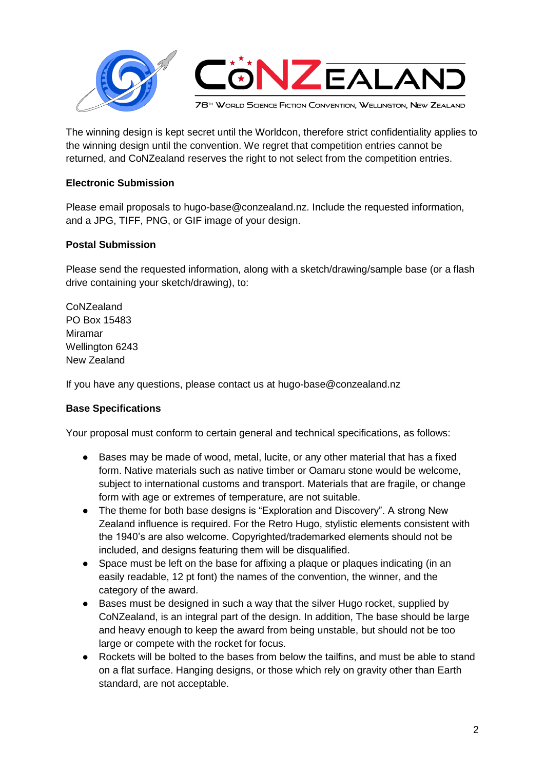

The winning design is kept secret until the Worldcon, therefore strict confidentiality applies to the winning design until the convention. We regret that competition entries cannot be returned, and CoNZealand reserves the right to not select from the competition entries.

# **Electronic Submission**

Please email proposals to hugo-base@conzealand.nz. Include the requested information, and a JPG, TIFF, PNG, or GIF image of your design.

# **Postal Submission**

Please send the requested information, along with a sketch/drawing/sample base (or a flash drive containing your sketch/drawing), to:

CoNZealand PO Box 15483 Miramar Wellington 6243 New Zealand

If you have any questions, please contact us at hugo-base@conzealand.nz

## **Base Specifications**

Your proposal must conform to certain general and technical specifications, as follows:

- Bases may be made of wood, metal, lucite, or any other material that has a fixed form. Native materials such as native timber or Oamaru stone would be welcome, subject to international customs and transport. Materials that are fragile, or change form with age or extremes of temperature, are not suitable.
- The theme for both base designs is "Exploration and Discovery". A strong New Zealand influence is required. For the Retro Hugo, stylistic elements consistent with the 1940's are also welcome. Copyrighted/trademarked elements should not be included, and designs featuring them will be disqualified.
- Space must be left on the base for affixing a plaque or plaques indicating (in an easily readable, 12 pt font) the names of the convention, the winner, and the category of the award.
- Bases must be designed in such a way that the silver Hugo rocket, supplied by CoNZealand, is an integral part of the design. In addition, The base should be large and heavy enough to keep the award from being unstable, but should not be too large or compete with the rocket for focus.
- Rockets will be bolted to the bases from below the tailfins, and must be able to stand on a flat surface. Hanging designs, or those which rely on gravity other than Earth standard, are not acceptable.